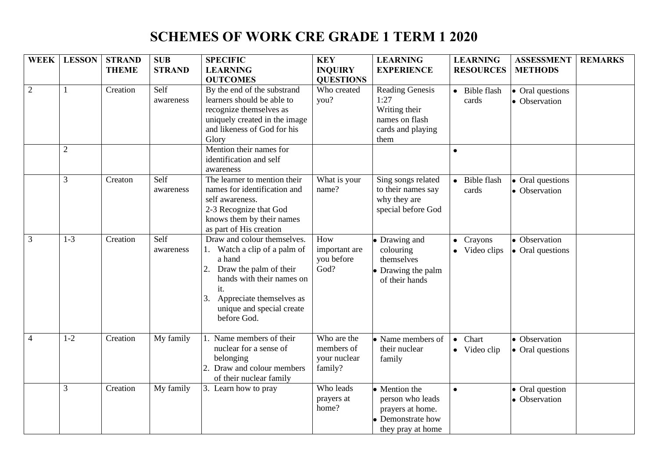## **SCHEMES OF WORK CRE GRADE 1 TERM 1 2020**

| <b>WEEK</b>    | <b>LESSON</b>  | <b>STRAND</b> | <b>SUB</b>        | <b>SPECIFIC</b>                                                                                                                                                                                                   | <b>KEY</b>                                           | <b>LEARNING</b>                                                                                 | <b>LEARNING</b>                    | <b>ASSESSMENT</b>                 | <b>REMARKS</b> |
|----------------|----------------|---------------|-------------------|-------------------------------------------------------------------------------------------------------------------------------------------------------------------------------------------------------------------|------------------------------------------------------|-------------------------------------------------------------------------------------------------|------------------------------------|-----------------------------------|----------------|
|                |                | <b>THEME</b>  | <b>STRAND</b>     | <b>LEARNING</b>                                                                                                                                                                                                   | <b>INQUIRY</b>                                       | <b>EXPERIENCE</b>                                                                               | <b>RESOURCES</b>                   | <b>METHODS</b>                    |                |
|                |                |               |                   | <b>OUTCOMES</b>                                                                                                                                                                                                   | <b>QUESTIONS</b>                                     |                                                                                                 |                                    |                                   |                |
| $\overline{2}$ |                | Creation      | Self<br>awareness | By the end of the substrand<br>learners should be able to<br>recognize themselves as<br>uniquely created in the image<br>and likeness of God for his<br>Glory                                                     | Who created<br>you?                                  | <b>Reading Genesis</b><br>1:27<br>Writing their<br>names on flash<br>cards and playing<br>them  | • Bible flash<br>cards             | • Oral questions<br>• Observation |                |
|                | $\overline{2}$ |               |                   | Mention their names for<br>identification and self<br>awareness                                                                                                                                                   |                                                      |                                                                                                 | $\bullet$                          |                                   |                |
|                | 3              | Creaton       | Self<br>awareness | The learner to mention their<br>names for identification and<br>self awareness.<br>2-3 Recognize that God<br>knows them by their names<br>as part of His creation                                                 | What is your<br>name?                                | Sing songs related<br>to their names say<br>why they are<br>special before God                  | Bible flash<br>cards               | • Oral questions<br>• Observation |                |
| $\mathfrak{Z}$ | $1-3$          | Creation      | Self<br>awareness | Draw and colour themselves.<br>1. Watch a clip of a palm of<br>a hand<br>Draw the palm of their<br>hands with their names on<br>it.<br>Appreciate themselves as<br>3.<br>unique and special create<br>before God. | How<br>important are<br>you before<br>God?           | • Drawing and<br>colouring<br>themselves<br>• Drawing the palm<br>of their hands                | $\bullet$ Crayons<br>• Video clips | • Observation<br>• Oral questions |                |
| $\overline{4}$ | $1-2$          | Creation      | My family         | 1. Name members of their<br>nuclear for a sense of<br>belonging<br>Draw and colour members<br>of their nuclear family                                                                                             | Who are the<br>members of<br>your nuclear<br>family? | • Name members of<br>their nuclear<br>family                                                    | Chart<br>$\bullet$<br>• Video clip | • Observation<br>• Oral questions |                |
|                | 3              | Creation      | My family         | 3. Learn how to pray                                                                                                                                                                                              | Who leads<br>prayers at<br>home?                     | • Mention the<br>person who leads<br>prayers at home.<br>• Demonstrate how<br>they pray at home | $\bullet$                          | • Oral question<br>• Observation  |                |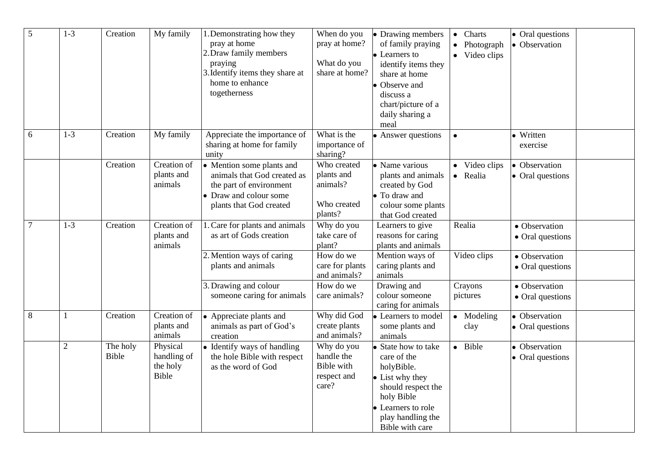| 5       | $1 - 3$        | Creation          | My family                                    | 1. Demonstrating how they<br>pray at home<br>2. Draw family members<br>praying<br>3. Identify items they share at<br>home to enhance<br>togetherness | When do you<br>pray at home?<br>What do you<br>share at home?   | • Drawing members<br>of family praying<br>• Learners to<br>identify items they<br>share at home<br>Observe and<br>discuss a<br>chart/picture of a<br>daily sharing a<br>meal | Charts<br>$\bullet$<br>Photograph<br>• Video clips | • Oral questions<br>• Observation |
|---------|----------------|-------------------|----------------------------------------------|------------------------------------------------------------------------------------------------------------------------------------------------------|-----------------------------------------------------------------|------------------------------------------------------------------------------------------------------------------------------------------------------------------------------|----------------------------------------------------|-----------------------------------|
| 6       | $1 - 3$        | Creation          | My family                                    | Appreciate the importance of<br>sharing at home for family<br>unity                                                                                  | What is the<br>importance of<br>sharing?                        | Answer questions                                                                                                                                                             |                                                    | · Written<br>exercise             |
|         |                | Creation          | Creation of<br>plants and<br>animals         | • Mention some plants and<br>animals that God created as<br>the part of environment<br>• Draw and colour some<br>plants that God created             | Who created<br>plants and<br>animals?<br>Who created<br>plants? | • Name various<br>plants and animals<br>created by God<br>• To draw and<br>colour some plants<br>that God created                                                            | • Video clips<br>• Realia                          | • Observation<br>• Oral questions |
| $\tau$  | $1 - 3$        | Creation          | Creation of<br>plants and<br>animals         | . Care for plants and animals<br>as art of Gods creation                                                                                             | Why do you<br>take care of<br>plant?                            | Learners to give<br>reasons for caring<br>plants and animals                                                                                                                 | Realia                                             | • Observation<br>• Oral questions |
|         |                |                   |                                              | 2. Mention ways of caring<br>plants and animals                                                                                                      | How do we<br>care for plants<br>and animals?                    | Mention ways of<br>caring plants and<br>animals                                                                                                                              | Video clips                                        | • Observation<br>• Oral questions |
|         |                |                   |                                              | 3. Drawing and colour<br>someone caring for animals                                                                                                  | How do we<br>care animals?                                      | Drawing and<br>colour someone<br>caring for animals                                                                                                                          | Crayons<br>pictures                                | • Observation<br>• Oral questions |
| $\,8\,$ | 1              | Creation          | Creation of<br>plants and<br>animals         | • Appreciate plants and<br>animals as part of God's<br>creation                                                                                      | Why did God<br>create plants<br>and animals?                    | • Learners to model<br>some plants and<br>animals                                                                                                                            | • Modeling<br>clay                                 | • Observation<br>• Oral questions |
|         | $\overline{2}$ | The holy<br>Bible | Physical<br>handling of<br>the holy<br>Bible | • Identify ways of handling<br>the hole Bible with respect<br>as the word of God                                                                     | Why do you<br>handle the<br>Bible with<br>respect and<br>care?  | State how to take<br>care of the<br>holyBible.<br>• List why they<br>should respect the<br>holy Bible<br>• Learners to role<br>play handling the<br>Bible with care          | • Bible                                            | • Observation<br>• Oral questions |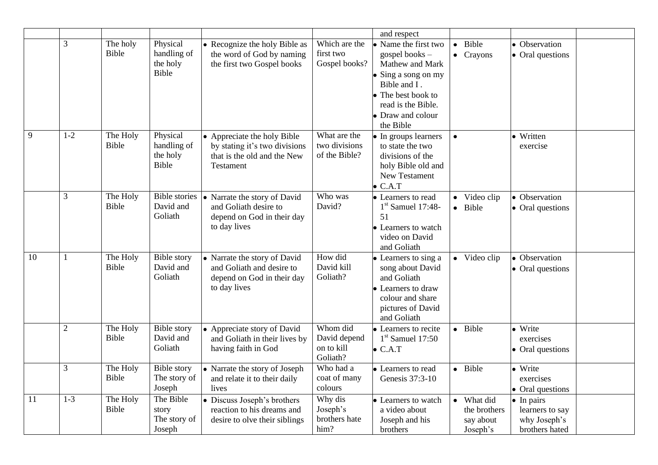|    |                |                   |                                                     |                                                                                                          |                                                    | and respect                                                                                                                                                            |                                                     |                                                                         |  |
|----|----------------|-------------------|-----------------------------------------------------|----------------------------------------------------------------------------------------------------------|----------------------------------------------------|------------------------------------------------------------------------------------------------------------------------------------------------------------------------|-----------------------------------------------------|-------------------------------------------------------------------------|--|
|    | $\mathfrak{Z}$ | The holy<br>Bible | Physical<br>handling of<br>the holy<br><b>Bible</b> | • Recognize the holy Bible as<br>the word of God by naming<br>the first two Gospel books                 | Which are the<br>first two<br>Gospel books?        | Name the first two<br>gospel books -<br>Mathew and Mark<br>Sing a song on my<br>Bible and I.<br>The best book to<br>read is the Bible.<br>Draw and colour<br>the Bible | Bible<br>• Crayons                                  | • Observation<br>• Oral questions                                       |  |
| 9  | $1 - 2$        | The Holy<br>Bible | Physical<br>handling of<br>the holy<br><b>Bible</b> | • Appreciate the holy Bible<br>by stating it's two divisions<br>that is the old and the New<br>Testament | What are the<br>two divisions<br>of the Bible?     | • In groups learners<br>to state the two<br>divisions of the<br>holy Bible old and<br>New Testament<br>C.A.T                                                           |                                                     | • Written<br>exercise                                                   |  |
|    | $\mathfrak{Z}$ | The Holy<br>Bible | <b>Bible</b> stories<br>David and<br>Goliath        | • Narrate the story of David<br>and Goliath desire to<br>depend on God in their day<br>to day lives      | Who was<br>David?                                  | • Learners to read<br>$1st$ Samuel 17:48-<br>51<br>Learners to watch<br>video on David<br>and Goliath                                                                  | • Video clip<br>· Bible                             | • Observation<br>$\bullet$ Oral questions                               |  |
| 10 | 1              | The Holy<br>Bible | <b>Bible</b> story<br>David and<br>Goliath          | • Narrate the story of David<br>and Goliath and desire to<br>depend on God in their day<br>to day lives  | How did<br>David kill<br>Goliath?                  | • Learners to sing a<br>song about David<br>and Goliath<br>Learners to draw<br>colour and share<br>pictures of David<br>and Goliath                                    | • Video clip                                        | • Observation<br>• Oral questions                                       |  |
|    | $\overline{2}$ | The Holy<br>Bible | <b>Bible</b> story<br>David and<br>Goliath          | • Appreciate story of David<br>and Goliath in their lives by<br>having faith in God                      | Whom did<br>David depend<br>on to kill<br>Goliath? | • Learners to recite<br>$1st$ Samuel 17:50<br>$\bullet$ C.A.T                                                                                                          | · Bible                                             | • Write<br>exercises<br>• Oral questions                                |  |
|    | $\mathfrak{Z}$ | The Holy<br>Bible | <b>Bible</b> story<br>The story of<br>Joseph        | • Narrate the story of Joseph<br>and relate it to their daily<br>lives                                   | Who had a<br>coat of many<br>colours               | • Learners to read<br>Genesis 37:3-10                                                                                                                                  | • Bible                                             | • Write<br>exercises<br>• Oral questions                                |  |
| 11 | $1-3$          | The Holy<br>Bible | The Bible<br>story<br>The story of<br>Joseph        | • Discuss Joseph's brothers<br>reaction to his dreams and<br>desire to olve their siblings               | Why dis<br>Joseph's<br>brothers hate<br>him?       | • Learners to watch<br>a video about<br>Joseph and his<br>brothers                                                                                                     | • What did<br>the brothers<br>say about<br>Joseph's | $\bullet$ In pairs<br>learners to say<br>why Joseph's<br>brothers hated |  |